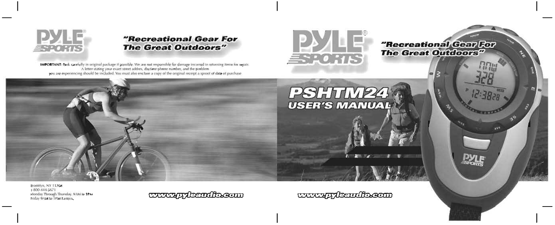

### "Recreational Gear For **The Great Outdoors"**

**IMPORTANT:** Pack carefully in original package if possible. We are not responsible for damage incurred in returning items for repair. A letter stating your exact street addres, daytime phone number, and the problem you are experiencing should be included. You must also enclose a copy of the original receipt a sproof of date of purchase



"Recreational Gear For **The Great Outdoors"** 

# PSHTM24 **USER'S MANUAL**

Brooklyn, NY 11204  $-800 - 444 - 5671$ Monday Through Thursday. gAM to 5PM Friday 9AM to 1PM Lastern.

www.gdendbeam

www.rykeudbecom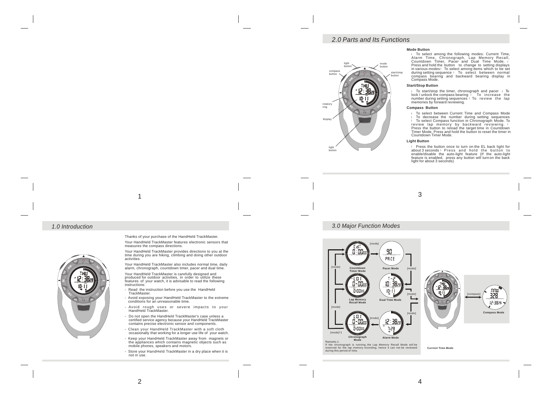### *2.0 Parts and Its Functions*

mode button

start/stop button

TM

light button

display

light button

rotatory ring

compas: button

### **Mode Button**

l To select among the following modes: Current Time, Alarm Time, Chronograph, Lap Memory Recall, Countdown Timer, Pacer and Dual Time Mode. ।<br>Pressand hold the button to change to setting displays<br>in various modes≀ To selec<u>t</u> among items which to be set during setting sequence l To select between normal compass bearing and backward bearing display in Compass Mode.

### **Start/Stop Button**

To start/stop the timer, chronograph and pacer I To lock / unlock the compass bearing l To increase the number during setting sequences l To review the lap memories by forward reviewing.

#### **Compass Button**

To select between Current Time and Compass Mode l To decrease the number during setting sequences l To select Compass function in Chronograph Mode. To review lap memory by backward reviewing. l Press the button to reload the target time in Countdown Timer Mode. Press and hold the button to reset the timer in Countdown Timer Mode.

### **Light Button**

Press the button once to turn on the EL back light for about 3 seconds | Press and hold the button to enable/disable the auto-light feature (If the auto-light feature is enabled, press any button will turn on the back light for about 3 seconds)



### *1.0 Introduction 3.0 Major Function Modes*





Thanks of your purchase of the HandHeld TrackMaster. Your HandHeld TrackMaster features electronic sensors that measures the compass directions.

Your HandHeld TrackMaster provides directions to you at the time during you are hiking, climbing and doing other outdoor activities.

 Your HandHeld TrackMaster also includes normal time, daily alarm, chronograph, countdown timer, pacer and dual time.

Your HandHeld TrackMaster is carefully designed and produced for outdoor activities, in order to utilize these features of your watch, it is advisable to read the following instructions:

- Read the instruction before you use the HandHeld TrackMaster. -
- Avoid exposing your HandHeld TrackMaster to the extreme conditions for an unreasonable time.
- Avoid rough uses or severe impacts to your HandHeld TrackMaster.
- Do not open the HandHeld TrackMaster's case unless a certified service agency because your HandHeld TrackMaster contains precise electronic sensor and components.
- Clean your HandHeld TrackMaster with a soft cloth occasionally that working for a longer use life of your watch.
- Keep your HandHeld TrackMaster away from magnets or the appliances which contains magnetic objects such as mobile phones, speakers and motors.
- Store your HandHeld TrackMaster in a dry place when it is not in use.

2  $\overline{a}$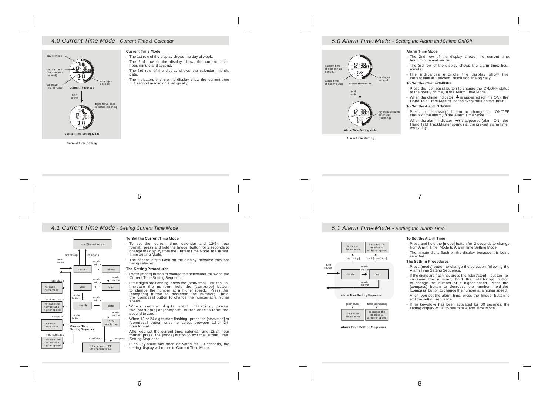### *4.0 Current Time Mode - Current Time & Calendar*

### day of week -12 38 current time (hour:minute second) ID- Ü analogue second calendar (month-date) **Current Time Mode** hold mode digits have been selected (flashing) TЮ <u> 12 38 </u> 10- i T **Current Time Setting Mode**

**Current Time Setting**

### **Current Time Mode**

- The 1st row of the display shows the day of week.
- The 2nd row of the display shows the current time:
- hour, minute and second. - The 3rd row of the display shows the calendar: month,
- doto.
- The indicators encircle the display show the current time in 1 second resolution analogically .

### *5.0 Alarm Time Mode - Setting the Alarm and Chime On/Off*



**Alarm Time Setting**

### **Alarm Time Mode**

- The 2nd row of the display shows the current time: hour, minute and second.
- The 3rd row of the display shows the alarm time: hour, minute.
- The indicators encircle the display show the current time in 1 second resolution analogically.

### **To Set the Chime ON/OFF**

- Press the [compass] button to change the ON/OFF status of the hourly chime, in the Alarm Time Mode.
- When the chime indicator  $\triangleq$  is appeared (chime ON), the HandHeld TrackMaster beeps every hour on the hour.

### **To Set the Alarm ON/OFF**

- Press the [start/stop] button to change the ON/OFF status of the alarm, in the Alarm Time Mode.
- When the alarm indicator (When the alarm indicator (I) is appeared (alarm ON), the HandHeld TrackMaster sounds at the pre-set alarm time every day.

5 7 *4.1 Current Time Mode - Setting Current Time Mode 5.1 Alarm Time Mode - Setting the Alarm Time* **To Set the Current Time Mode To Set the Alarm Time** - To set the current time, calendar and 12/24 hour - Press and hold the [mode] button for 2 seconds to change reset Second to zeroincrease the format, press and hold the [mode] button for 2 seconds to Increase from Alarm Time Mode to Alarm Time Setting Mode. number at the number change the display from the Current Time Mode to Current a higher speed - The minute digits flash on the display because it is being Time Setting Mode. start/stop compass  $\overline{\phantom{a}}$  $\blacktriangle$ selected. hold [start/stop] hold - The second digits flash on the display because they are [start/stop] **The Setting Procedures**  mode<br>buttor being selected. mode <u>III</u> mode **hold** contact the being selected. button model button and the control of the control of the control of the control of the control of the control of the control of the control of the control of the control of the control of the control of the control of the Press [mode] button to change the selection following the **The Setting Procedures**  mode second minute

- Press [mode] button to change the selections following the Current Time Setting Sequence.
- button **interval of the digits are flashing, press the [start/stop]** but ton to **computer interval of the digits are flashing, press the [start/stop] but ton to** increase the number; hold the [start/stop] button to change the number at a higher speed. Press the [compass] button to decrease the number; hold the [compass] button to change the number at a higher speed.
	- When second digits start flashing, press the [start/stop] or [compass] button once to reset the second to zero.
	- When 12 or 24 digits start flashing, press the [start/stop] or [compass] button once to select between 12 or 24 hour format.
	- After you set the current time, calendar and 12/24 hour format, press the [mode] button to exit the Current Time Setting Sequence.
	- If no key-stoke has been activated for 30 seconds, the setting display will return to Current Time Mode.
- Alarm Time Setting Sequence.
- If the digits are flashing, press the [start/stop] but ton to increase the number; hold the [start/stop] button to change the number at a higher speed. Press the [compass] button to decrease the number; hold the [compass] button to change the number at a higher speed.
- After you set the alarm time, press the [mode] button to exit the setting sequence.
- If no key-stoke has been activated for 30 seconds, the setting display will auto return to Alarm Time Mode.

|        | mode<br>button |      |  |
|--------|----------------|------|--|
| minute |                | hour |  |
|        | mode<br>button |      |  |

### **Alarm Time Setting Sequence**

| [compass]              | hold [compass]                              |
|------------------------|---------------------------------------------|
| decrease<br>the number | decrease the<br>number at<br>a higher speed |

**Alarm Time Setting Sequence**

12/24 hour format

date

mode button

compass

hour

mode  $\mathbf{I}$  button

year

mode<br>butto

mode button

start/stop

'12' changes to '24'; '24' changes to '12'.

month

**Current Time Setting Sequence** 

mode button

mode button

Increase the number

start/stop

increase the number at a higher speed

decrease the number

hold start/st

compass

hold compass

decrease the number at a higher speed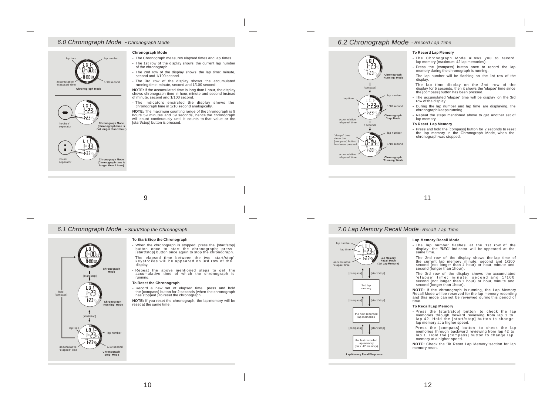### *6.0 Chronograph Mode - Chronograph Mode*



**Chronograph Mode**





#### **Chronograph Mode**

- The Chronograph measures elapsed times and lap times. - The 1st row of the display shows the current lap number
- of the chronograph. - The 2nd row of the display shows the lap time: minute,
- second and 1/100 second.
- The 3rd row of the display shows the accumulated running time: minute, second and 1/100 second.

**NOTE:** if the accumulated time is long than 1 hour, the display shows chronograph time in hour, minute and second instead of minute, second and 1/100 second.

- The indicators encircled the display shows the chronograph time in 1/10 second analogically .

**NOTE:** The maximum counting range of the chronograph is 9 hours 59 minutes and 59 seconds, hence the chronograph will count continuously until it counts to that value or the [start/stop] button is pressed.

## *6.2 Chronograph Mode - Record Lap Time*

#### **To Record Lap Memory**

ពេរ 7-23 וכה" **Chronograph 'Running' Mode**  $\blacksquare$ [compass] lir. lap number lap tin  $1 - 23$ 1/10 second 753, **Chronograph 'Lap' Mode** accumulative 'elapsed' time  $\blacksquare$ 5 seconds number **Tifs** 'elaspe' time 102 since the [compass] button ₫-Ö4 has been pressed 1/10 second 1-28. accumulative 'elapsed' time **Chronograph 'Running' Mode**

#### - The Chronograph Mode allows you to record lap memory (maximum 42 lap memories). Press the [compass] button once to record the lap

- memory during the chronograph is running.
- The lap number will be flashing on the 1st row of the display.
- The lap time display on the 2nd row of the display for 5 seconds, then it shows the 'elapse' time since the [compass] button has been pressed.
- The accumulated 'elapse' time will be display on the 3rd row of the display.
- During the lap number and lap time are displaying, the chronograph keeps running.
- Repeat the steps mentioned above to get another set of lap memory

#### **To Reset Lap Memory**

- Press and hold the [compass] button for 2 seconds to reset the lap memory in the Chronograph Mode, when the chronograph was stopped.

### *7.0 Lap Memory Recall Mode - Recall Lap Time*

### **Lap Memory Recall Mode**

11

- The lap number flashes at the 1st row of the display; the '*REC*' indicator will be appeared at the same time.
- The 2nd row of the display shows the lap time of the current lap memory: minute, second and 1/100 second (not longer than 1 hour) or hour, minute and second (longer than 1 hour).
- The 3rd row of the display shows the accumulated 'elapse' time: minute, second and 1/10 0 second (not longer than 1 hour) or hour, minute and second (longer than 1 hour).

**NOTE:** If the chronograph is running, the Lap Memory Recall Mode will be reserved for the lap memory recording and this mode can not be reviewed during this period of time.

### **To Recall Lap Memory**

- Press the [start/stop] button to check the lap memories through forward reviewing from lap 1 to lap 42. Hold the [start/stop] button to change lap memory at a higher speed.
- Press the [compass] button to check the lap memories through backward reviewing from lap 42 to lap 1. Hold the [compass] button to change lap memory at a higher speed.

**NOTE:** Check the 'To Reset Lap Memory' section for lap memory reset.



### **To Start/Stop the Chronograph**

9

*6.1 Chronograph Mode - Start/Stop the Chronograph*

- When the chronograph is stopped, press the [start/stop] button once to start the chronograph; press [start/stop] button once again to stop the chronograph.
- The elapsed time between the two 'start/stop' keystrokes will be appeared on 3rd row of the display.
- Repeat the above mentioned steps to get the accumulative time of which the chronograph is running.

### **To Reset the Chronograph**

- Record a new set of elapsed time, press and hold the [compass] button for 2 seconds (when the chronograph has stopped ) to reset the chronograph.
- **NOTE:** If you reset the chronograph, the lap memory will be reset at the same time.

lap numbe *REC*  $-23.$ lap time i23.s∦ **Lap Memory Recall Mode** accumulative **(1st Lap Memory)** 'elapse' time [compass] [start/stop] 2nd lap memory start/stop] **[compas** the next recorded lap memories start/stop] **[compass** the last recorded lap memory (max. 42 memory) **Lap Memory Recall Sequence**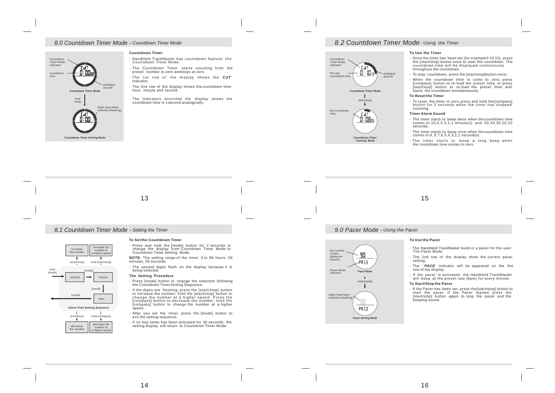### *8.0 Countdown Timer Mode - Countdown Timer Mode*

digits have been senave seen<br>cted (flashing)

analogue anarogi<br>second

### **Countdown Timer**

- HandHeld TrackMaster has countdown feature: the Countdown Timer Mode.
- The Countdown Timer starts counting from the preset number to zero andstops at zero.
- The 1st row of the display shows the '*CdT*' indicator.
- The 2nd row of the display shows the countdown time: hour, minute and second.
- The indicators encircled the display shows the countdown time in 1 second analogically.

## *8.2 Countdown Timer Mode - Using the Timer*



#### **To Use the Timer**

- Once the timer has been set (for example0:10 15), press the [start/stop] button once to start the countdown. The countdown time will be displayed continuously throughout the countdown.
- To stop countdown, press the [start/stop]button once.
- When the countdown time is come to zero, press [compass] button to re-load the preset time, or press [start/stop] button to re-load the preset time and starts the countdown simultaneously.

#### **To Reset the Timer**

- To reset the timer to zero, press and hold the [compass] button for 2 seconds when the timer has stopped counting.

### **Timer Alarm Sound**

- The timer starts to beep twice when the countdown time comes to 10,5,4,3,2,1 minute(s) and 50,40,30,20,10 seconds.
- The timer starts to beep once when the countdown time comes to 9, 8,7,6,5,4,3,2,1 second(s).
- The timer starts to beep a long beep when the countdown time comes to zero.

### *8.1 Countdown Timer Mode - Setting the Timer*

second  $\rightarrow$  minute

[start/stop] hold [start/stop]

hold<br>[mode] [mode]

Increase the number

 $\ddot{\phantom{1}}$ 

hold mode

 $0:00$ 

countdown time

Countdown Timer Mode indicator

[mode

decrease the number

**Alarm Time Setting Sequence**

[compass] hold [compass]

hour

decrease the number at a higher speed

 $\blacksquare$ 

increase the number at a higher speed

[mode]

#### **To Set the Countdown Timer**

- Press and hold the [mode] button for 2 seconds to change the display from Countdown Timer Mode to Countdown Timer Setting Mode.
- **NOTE:** The setting range of the timer: 0 to 99 hours, 59 minutes, 59 seconds.
- The second digits flash on the display because it is being selected.

#### **The Setting Procedure**

- Press [mode] button to change the selection following the Countdown TimerSetting Sequence.
- If the digits are flashing, press the [start/stop] button to increase the number; hold the [start/stop] button to change the number at a higher speed. Press the [compass] button to decrease the number; hold the [compass] button to change the number at a higher speed<sup>.</sup>
- After you set the timer, press the [mode] button to exit the setting sequence.
- If no key-stoke has been activated for 30 seconds, the setting display will return to Countdown Timer Mode.

15

### *9.0 Pacer Mode - Using the Pacer*



### **To Use the Pacer**

- The HandHeld TrackMaster build-in a pacer for the user: The Pacer Mode.
- The 2nd row of the display show the current pacer setting.
- The ' *PACE*' indicator will be appeared on the 3rd row of the display.
- If the pacer is activated, the HandHeld TrackMaster will beep at the preset rate (bpm) for every minute.

### **To Start/Stop the Pacer**

- If the Pacer has been set, press the[start/stop] button to start the pacer. If the Pacer started, press the [start/stop] button again to stop the pacer and the beeping sound.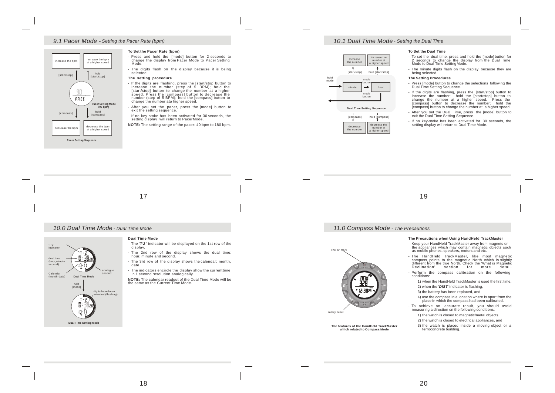### *9.1 Pacer Mode - Setting the Pacer Rate (bpm)*

### increase the bpm increase the bpm at a higher speed [start/stop] hold [start/stop] qη PREE **Pacer Setting Mode (90 bpm)** hold [compass] [compass] decrease the bpm decrease the bpm at a higher speed **Pacer Setting Sequence**



### **To Set the Pacer Rate (bpm)**

- Press and hold the [mode] button for 2 seconds to change the display from Pacer Mode to Pacer Setting Mode
- The digits flash on the display because it is being selected.

### **The setting procedure**

- If the digits are flashing, press the [start/stop] button to increase the number (step of 5 BPM); hold the [start/stop] button to change the number at a higher speed. Press the [compass] button to decrease the number (step of 5 BPM); hold the [compass] button to<br>change the number ata higher speed.
- After you set the pacer, press the [mode] button to exit the setting sequence.
- If no key-stoke has been activated for 30 seconds, the setting display will return to PacerMode.

**NOTE:** The setting range of the pacer: 40 bpm to 180 bpm.

### *10.1 Dual Time Mode - Setting the Dual Time*



### **Dual Time Setting Sequence** hold **[con**

|                        | .                                           |  |  |
|------------------------|---------------------------------------------|--|--|
| decrease<br>the number | decrease the<br>number at<br>a higher speed |  |  |

- To set the dual time, press and hold the [mode] button for 2 seconds to change the display from the Dual Time Mode to Dual Time SettingMode.
- The minute digits flash on the display because they are being selected.

### **The Setting Procedures**

**To Set the Dual Time**

- Press [mode] button to change the selections following the Dual Time Setting Sequence.
- If the digits are flashing, press the [start/stop] button to increase the number; hold the [start/stop] button to change the number at a higher speed. Press the [compass] button to decrease the number; hold the [compass] button to change the number at a higher speed.
- After you set the Dual T ime, press the [mode] button to exit the Dual Time Setting Sequence.
- If no key-stoke has been activated for 30 seconds, the setting display will return to Dual Time Mode.



#### **Dual Time Mode**

- The '*T-2* ' indicator will be displayed on the 1st row of the display.
- The 2nd row of the display shows the dual time: hour, minute and second.
- The 3rd row of the display shows the calendar: month, date.
- The indicators encircle the display show the currenttime in 1 second resolution analogically.
- **NOTE:** The calendar readout of the Dual Time Mode will be the same as the Current Time Mode.

rotary bezel

**which related to Compass Mode The features of the HandHeld TrackMaster**

The 'N' mark

### **The Precautions when Using HandHeld TrackMaster**

- Keep your HandHeld TrackMaster away from magnets or the appliances which may contain magnetic objects such as mobile phones, speakers, motors and etc.
- The HandHeld TrackMaster, like most magnetic compass, points to the magnetic North which is slightly different from the true North. Check the 'What is Magnetic<br>Declination' section for more detail.
- Perform the compass calibration on the following conditions:
	- 1) when the HandHeld TrackMaster is used the first time, 2) when the '*DIST*' indicator is flashing,
	- 3) the battery has been replaced, and
	- 4) use the compass in a location where is apart from the place in which the compass had been calibrated.
- To achieve an accurate result, you should avoid measuring a direction on the following conditions:
	- 1) the watch is closed to magnetic/metal objects,
	- 2) the watch is closed to electrical appliances, and
	- 3) the watch is placed inside a moving object or a ferroconcrete building.



TM

-10 38 m-

dual time (hour,minute second)

'T-2' indicator

analogue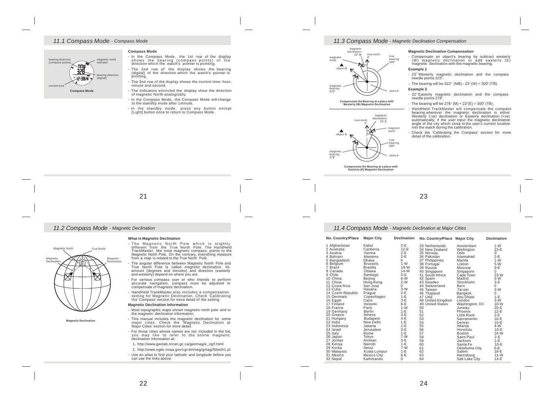### *11.1 Compass Mode - Compass Mode*



#### **Compass Mode**

- In the Compass Mode, the 1st row of the display<br>shows the bearing (compass points) of the direction which the watch's pointer is pointing.
- The 2nd row of the display shows the bearing (digital) of the direction which the watch's pointer is pointing.
- The 3nd row of the display shows the current time: hour, minute and second.
- The indicators encircled the display show the direction of magnetic North analogically.
- In the Compass Mode, the Compass Mode will change to the standby mode after 1 minute.
- In the standby mode, press any button except [Light] button once to return to Compass Mode.

### *11.3 Compass Mode - Magnetic Declination Compensation*

true bearing 300

point A

**Compensate the Bearing at a place with Westerly (W) Magnetic Declination**

> true north 0

true north 0

> magnetic declination  $22^\circ$  E

> > true bearing  $300^\circ$

point A

magnetic north

magnetic declination  $23^\circ M$ 

magnetic bearing<br>323°

magnetic north

object B

▲

magnetic bearing  $278^\circ$ 

object B

**Compensate the Bearing at a place with Easterly (E) Magnetic Declination**

#### **Magnetic Declination Compensation**

- Compensate an object's bearing by subtract westerly (W) magnetic declination or add easterly (E) magnetic declination with the magnetic bearing. **Example 1**

- needle points 323°. - 23° Westerly magnetic declination and the compass
- The bearing will be  $323^{\circ}$  (MB)  $23^{\circ}$  (W) =  $300^{\circ}$  (TB).

### **Example 2**

- 22 Easterly magnetic declination and the compass needle points 278°.
- The bearing will be  $278^{\circ}$  (M) +  $22^{\circ}$  (E) = 300° (TB).
- HandHeld TrackMaster will compensate the compass bearing wherever the magnetic declination is either Westerly (-ve) declination or Easterly declination (+ve) automatically, if the user input the magnetic declination angle of the city which close to the user's current location into the watch during the calibration.
- Check the 'Calibrating the Compass' section for more detail of the calibration.

21

### *11.2 Compass Mode - Magnetic Declination*

Magnetic .<br>Iination

True North

**Magnetic Declination**

Magnetic Declination

Magnetic North

### **What is Magnetic Declination**

- The Magnetic North Pole which is slightly<br>different from the True North Pole. The HandHeld TrackMaster, like most magnetic compass, points to the Magnetic North Pole. On the contrary, everything measure from a map is related to the True North Pole.
- The angular difference between Magnetic North Pole and True North Pole is called magnetic declination. Its amount (degrees and minutes) and direction (easterly and westerly) depend on where you are.
- For serious compass user or who intends to perform accurate navigation, compass must be adjusted to compensate of magnetic declination.
- HandHeld TrackMaster also includes a compensation setting for magnetic Declination. Check 'Calibration's the Compass' section for more detail of the setting.

#### **Magnetic Declination Information**

- Most topographic maps shown magnetic north pole and or the magnetic declination information.
- This manual includes the magnetic declination for some major cities. Check the 'Magnetic Declination at Major Cities' section for more detail.
- For those cities whose names are not included in the list, you may like to refer to the online magnetic declination information at:
- 1. http://www.geolab.nrcan.gc.ca/geomag/e\_cgrf.html
- 2. http://www.ngdc.noaa.gov/cgi-bin/seg/gmag/fldsnth1.pl
- Use an atlas to find your latitude and longitude before you can use the links above.

### *11.4 Compass Mode - Magnetic Declination at Major Cities*

| No. Country/Place | <b>Major City</b>  | <b>Declination</b> | No. Country/Place       | <b>Major City</b> | <b>Declination</b> |
|-------------------|--------------------|--------------------|-------------------------|-------------------|--------------------|
| 1 Afghanistan     | Kabul              | $2-E$              | 33 Netherlands          | Amsterdam         | $1-W$              |
| 2 Australia       | Canberra           | $12-E$             | 34 New Zealand          | Wellington        | 22-E               |
| 3 Austria         | Vienna             | $2-E$              | 35 Norway               | Oslo              | $\mathbf 0$        |
| 4 Bahrain         | Manama             | $2-E$              | 36 Pakistan             | Islamabad         | $2-E$              |
| 5 Bangladesh      | Dhaka              | $\Omega$           | 37 Philippines          | Manila            | $1-W$              |
| 6 Belgium         | <b>Brussels</b>    | $1-W$              | 38 Portugal             | Lisbon            | $5-W$              |
| 7 Brazil          | <b>Brasilia</b>    | $19-W$             | 39 Russia               | Moscow            | $9-E$              |
| 8 Canada          | Ottawa             | $14-W$             | 40 Singapore            | Singapore         | $\Omega$           |
| 9 Chile           | Santiago           | $5-E$              | 41 South Africa         | Cape Town         | $23-W$             |
| 10 China          | Beijing            | $6-W$              | 42 Spain                | Madrid            | $3-W$              |
| 11 China          | Hong Kong          | $2-W$              | 43 Sweden               | Stockholm         | $3-E$              |
| 12 Costa Rica     | San Jose           | 0                  | 44 Switzerland          | Bern              | $\Omega$           |
| 13 Cuba           | Havana             | $3-W$              | 45 Taiwan               | Tai-pei           | $3-W$              |
| 14 Czech Republic | Prague             | $2-E$              | 46 Thailand             | Bangkok           | 0                  |
| 15 Denmark        | Copenhagen         | $1-E$              | 47 UAE                  | Abu Dhabi         | $1-E$              |
| 16 Egypt          | Cairo              | $3-E$              | 48 United Kingdom       | London            | $3-W$              |
| 17 Finland        | Helsinki           | $6-E$              | <b>49 United States</b> | Washington, DC    | $10-W$             |
| 18 France         | Paris              | $1-W$              | 50                      | Juneau            | 25-E               |
| 19 Germany        | Berlin             | $1-E$              | 51                      | Phoenix           | $12-E$             |
| 20 Greece         | Athens             | $3-E$              | 52                      | Little Rock       | $2-E$              |
| 21 Hungary        | <b>Budapest</b>    | $4-E$              | 53                      | Sacramento        | $16-E$             |
| 22 India          | New Delhi          | $1-E$              | 54                      | Denver            | $10-E$             |
| 23 Indonesia      | Jakarta            | $1-E$              | 55                      | Atlanta           | $4-W$              |
| 24 Israel         | Jerusalem          | $3-E$              | 56                      | Honolulu          | $10-E$             |
| 25 Italy          | Rome               | $1-E$              | 57                      | Boston            | $16-W$             |
| 26 Japan          | Tokyo              | $7-W$              | 58                      | Saint Paul        | $2-E$              |
| 27 Jordan         | Amman              | $3-E$              | 59                      | Jackson           | $1-E$              |
| 28 Kenya          | Nairobi            | $1-E$              | 60                      | Santa Fe          | $10-E$             |
| 29 Korea          | Seoul              | $7-W$              | 61                      | Oklahoma City     | $6-E$              |
| 30 Malaysia       | Kuala Lumpur       | $1-E$              | 62                      | Salem             | $18-E$             |
| 31 Mexico         | <b>Mexico City</b> | $6-E$              | 63                      | Harrisburg        | $11 - W$           |
| 32 Nepal          | Kathmandu          | $\Omega$           | 64                      | Salt Lake City    | $14-E$             |

23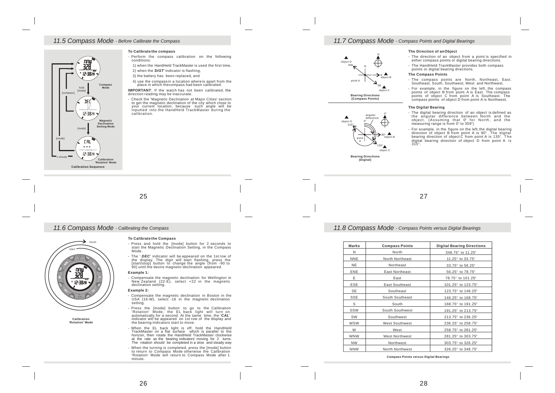### *11.5 Compass Mode - Before Calibrate the Compass*

**Compass Mode**

**Magnetic Declination Setting Mode**

**Calibration 'Rotation' Mode**

**Calibration Sequence**

**CRL**  $\ddotsc$  $12:3828$ 

hold [mode]

**MED**  $12:3828$ 

nne

328 12:3828

[compass]

[mode]

1 minute

[mode]

### **To Calibrate the compass**

- Perform the compass calibration on the following conditions:
- 1) when the HandHeld TrackMaster is used the first time,
- 2) when the '*DIST'* indicator is flashing,
- 3) the battery has been replaced, and
- 4) use the compass in a location whereis apart from the place in which thecompass had been calibrated.
- **IMPORTANT**: If the watch has not been calibrated, the direction reading may be inaccurate.
- Check the 'Magnetic Declination at Major Cities' section to get the magnetic declination of the city which close to your current location, because such angle will be inputted into the HandHeld TrackMaster during the calibration.

### *11.7 Compass Mode - Compass Points and Digital Bearings*

#### **The Direction of anObject**

- The direction of an object from a point is specified in either compass points or digital bearing directions.
- The HandHeld TrackMaster provides both compass points or digital bearing directions.

### **The Compass Points**

- The compass points are North, Northeast, East. Southeast, South, Southwest, West and Northwest.
- For example, in the figure on the left, the compass points of object B from point A is East. The compass points of object C from point A is Southeast. The compass points of object D from point A is Northwest.

### **The Digital Bearing**

27



- For example, in the figure on the left, the digital bearing direction of object B from point A is 90 . The digital bearing direction of object C from point A is 135 . T h e digital bearing direction of object D from point A is  $315^\circ$ .

### 25

### *11.6 Compass Mode - Calibrating the Compass*



**Calibration 'Rotation' Mode**

#### **To Calibrate the Compass**

- Press and hold the [mode] button for 2 seconds to start the Magnetic Declination Setting, in the Compass Mode.
- The ' *DEC*' indicator will be appeared on the 1st row of the display. The digit will start flashing, press the [start/stop] button to change the angle (from -90 to 90) until the desire magnetic declination appeared.

### **Example 1:**

- Compensate the magnetic declination for Wellington in New Zealand (22-E), select +22 in the magnetic declination setting.

### **Example 2:**

- Compensate the magnetic declination in Boston in the USA (16-W), select -16 in the magnetic declination setting.
- Press the [mode] button to go to the Calibration 'Rotation' Mode, the EL back light will turn on automatically for a second. At the same time, the '*CAL*' indicator will be appeared on 1st row of the display and the bearing indicators start to move.
- When the EL back light is off, hold the HandHeld<br>TrackMaster on a flat surface which is parallel to the horizon, then rotate the HandHeld TrackMaster clockwise<br>at the rate as the bearing indicators' moving for 2 turns. The rotation should be completed in a slow and steady way
- When the turning is completed, press the [mode] button to return to Compass Mode otherwise the Calibration 'Rotation' Mode will return to Compass Mode after 1 minute.

## *11.8 Compass Mode - Compass Points versus Digital Bearings*

object B

object C

90  $135^\circ$   $\blacktriangle$ 

0

object C

⊾∈ A  $SE$ 

N

Æ

object B

**Bearing Directions (Digital)**

point A

angular difference

0

**Bearing Directions (Compass Points)**

N

point A

object D

object D

 $\blacktriangle$ 

NW

315

| <b>Marks</b> | <b>Compass Points</b> | <b>Digital Bearing Directions</b> |  |  |
|--------------|-----------------------|-----------------------------------|--|--|
| N            | North                 | 348.75° to 11.25°                 |  |  |
| <b>NNE</b>   | North Northeast       | 11.25° to 33.75°                  |  |  |
| <b>NE</b>    | Northeast             | 33.75° to 56.25°                  |  |  |
| <b>ENE</b>   | East Northeast        | 56.25° to 78.75°                  |  |  |
| E            | East                  | 78.75° to 101.25°                 |  |  |
| <b>ESE</b>   | <b>East Southeast</b> | 101.25° to 123.75°                |  |  |
| <b>SE</b>    | Southeast             | 123.75° to 146.25°                |  |  |
| <b>SSE</b>   | South Southeast       | 146.25° to 168.75°                |  |  |
| S            | South                 | 168.75° to 191.25°                |  |  |
| SSW          | South Southwest       | 191.25° to 213.75°                |  |  |
| SW           | Southwest             | 213.75° to 236.25°                |  |  |
| <b>WSW</b>   | <b>West Southwest</b> | 236.25° to 258.75°                |  |  |
| W            | West                  | 258.75° to 281.25°                |  |  |
| <b>WNW</b>   | West Northwest        | 281.25° to 303.75°                |  |  |
| <b>NW</b>    | Northwest             | 303.75° to 326.25°                |  |  |
| <b>NNW</b>   | North Northwest       | 326.25° to 348.75°                |  |  |

**Compass Points versus Digital Bearings**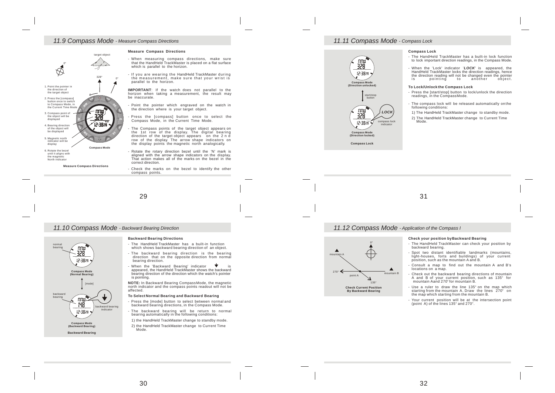## *11.9 Compass Mode - Measure Compass Directions*

#### **Measure Compass Directions** target object 0 328  $\sim$ 1. Point the pointer in the direction of the target object 2. Press the [compass] button once to switch to Compass Mode, in the Current Time Mode 3. Compass point of the object will be displayed  $P: 3R \times B$ 4. Bearing direction of the object will be displayed 5. Magnetic north indicator will be display **Compass Mode**6. Rotate the bezel until it aligns with the magnetic North indicato

**Measure Compass Directions**

**Compass Mode (Normal Bearing)**

omá 328  $85823$ 

normal bearing

backward bearing

[mode]

**Compass Mode (Backward Bearing) Backward Bearing**

nnaí 148 - When measuring compass directions, make sure that the HandHeld TrackMaster is placed on a flat surface which is parallel to the horizon.

- If you are wearing the HandHeld TrackMaster during<br>the measurement, make sure that your wrist is<br>parallel to the horizon.

**IMPORTANT**: If the watch does not parallel to the horizon when taking a measurement, the result may be inaccurate.

- Point the pointer which engraved on the watch in the direction where is your target object.

Press the [compass] button once to select the Compass Mode, in the Current Time Mode.

The Compass points of the target object appears on the 1st row of the display. The digital bearing direction of the target object appears on the 2 n d row of the display. The arrow shape indicators on the display points the magnetic north analogically.

- Rotate the rotary direction bezel until the 'N' mark is aligned with the arrow shape indicators on the display. That action makes all of the marks on the bezel in the correct direction.

- Check the marks on the bezel to identify the other compass points.

29

### *11.10 Compass Mode - Backward Bearing Direction*

backward bearing indicator

#### **Backward Bearing Directions**

- The HandHeld TrackMaster has a built-in function which shows backward bearing direction of an object.
- The backward bearing direction is the bearing direction that on the opposite direction from normal bearing direction.
- When the 'Backward Bearing' indicator is appeared, the HandHeld TrackMaster shows the backward bearing direction of the direction which the watch's pointer is pointing.

**NOTE:** In Backward Bearing CompassMode, the magnetic north indicator and the compass points readout will not be affected.

### **To Select Normal Bearing and Backward Bearing**

- Press the [mode] button to select between normal and backward bearing directions, in the Compass Mode.
- The backward bearing will be return to normal bearing automatically in the following conditions:
- 1) the HandHeld TrackMaster change to standby mode.
- 2) the HandHeld TrackMaster change to Current Time Mode.

## *11.11 Compass Mode - Compass Lock*



#### **Compass Lock**

- The HandHeld TrackMaster has a built-in lock function to lock important direction readings, in the Compass Mode.
- When the 'Lock' indicator '*LOCK*' is appeared, the HandHeld TrackMaster locks the direction readings, hence the direction reading will not be changed even the pointer<br>is pointing to another object. is pointing to be contained.

#### **To Lock/Unlock the Compass Lock**

- Press the [start/stop] button to lock/unlock the direction readings, in the CompassMode.
- The compass lock will be released automatically on the following conditions:
- 1) The HandHeld TrackMaster change to standby mode.
- 2) The HandHeld TrackMaster change to Current Time Mode.

## 31

### *11.12 Compass Mode - Application of the Compass I*



### **Check your position byBackward Bearing**

- The HandHeld TrackMaster can check your position by backward bearing.
- Spot two distant identifiable landmarks (mountains, light-houses, forts and buildings) of your current position, such as the mountain A and B.
- Consult a map to find out the mountain A and B's locations on a map.
- Check out the backward bearing directions of mountain A and B of your current position, such as 135° for mountain Aand 270° for mountain B.
- Use a ruler to draw the line 135° on the map which starting from the mountain A. Draw the lines 270° on the map which starting from the mountain B.
- Your current position will be at the intersection point (point A) of the lines 135 and 270.